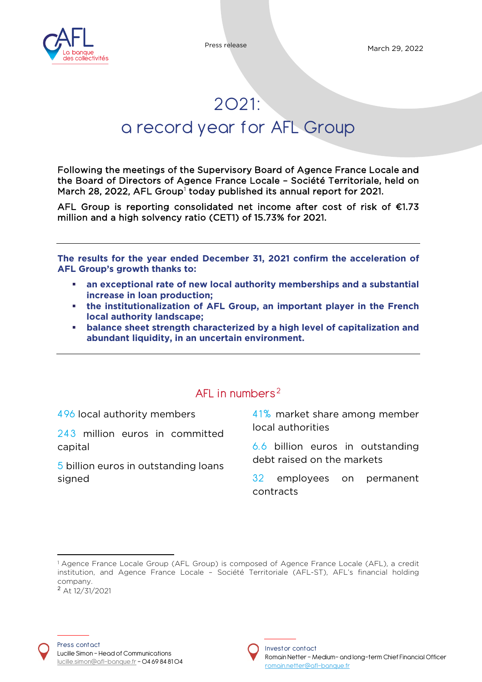

# 2O21: a record year for AFL Group

Following the meetings of the Supervisory Board of Agence France Locale and the Board of Directors of Agence France Locale – Société Territoriale, held on March 28, 2022, AFL Group $^{\rm l}$  today published its annual report for 202[1](#page-0-0).

AFL Group is reporting consolidated net income after cost of risk of €1.73 million and a high solvency ratio (CET1) of 15.73% for 2021.

**The results for the year ended December 31, 2021 confirm the acceleration of AFL Group's growth thanks to:** 

- **an exceptional rate of new local authority memberships and a substantial increase in loan production;**
- **the institutionalization of AFL Group, an important player in the French local authority landscape;**
- **balance sheet strength characterized by a high level of capitalization and abundant liquidity, in an uncertain environment.**

## AFL in numbers<sup>[2](#page-0-1)</sup>

4 96 local authority members

243 million euros in committed capital

5 billion euros in outstanding loans signed

41% market share among member local authorities

6. 6 billion euros in outstanding debt raised on the markets

32 employees on permanent contracts



<span id="page-0-1"></span><span id="page-0-0"></span><sup>&</sup>lt;sup>1</sup> Agence France Locale Group (AFL Group) is composed of Agence France Locale (AFL), a credit institution, and Agence France Locale – Société Territoriale (AFL-ST), AFL's financial holding company. <sup>2</sup> At 12/31/2021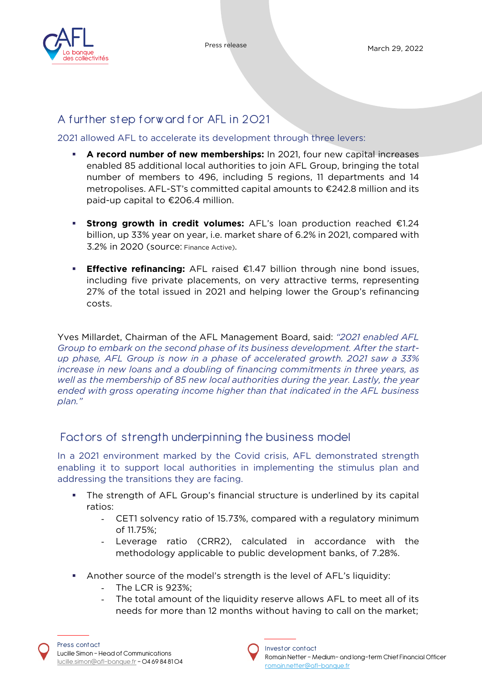



Press release March 29, 2022

# A further step forw ard for AFL in 2021

2021 allowed AFL to accelerate its development through three levers:

- **A record number of new memberships:** In 2021, four new capital increases enabled 85 additional local authorities to join AFL Group, bringing the total number of members to 496, including 5 regions, 11 departments and 14 metropolises. AFL-ST's committed capital amounts to €242.8 million and its paid-up capital to €206.4 million.
- **Strong growth in credit volumes:** AFL's loan production reached €1.24 billion, up 33% year on year, i.e. market share of 6.2% in 2021, compared with 3.2% in 2020 (source: Finance Active).
- **Effective refinancing:** AFL raised €1.47 billion through nine bond issues, including five private placements, on very attractive terms, representing 27% of the total issued in 2021 and helping lower the Group's refinancing costs.

Yves Millardet, Chairman of the AFL Management Board, said: *"2021 enabled AFL Group to embark on the second phase of its business development. After the startup phase, AFL Group is now in a phase of accelerated growth. 2021 saw a 33% increase in new loans and a doubling of financing commitments in three years, as well as the membership of 85 new local authorities during the year. Lastly, the year ended with gross operating income higher than that indicated in the AFL business plan."*

# Factors of strength underpinning the business model

In a 2021 environment marked by the Covid crisis, AFL demonstrated strength enabling it to support local authorities in implementing the stimulus plan and addressing the transitions they are facing.

- The strength of AFL Group's financial structure is underlined by its capital ratios:
	- CET1 solvency ratio of 15.73%, compared with a regulatory minimum of 11.75%;
	- Leverage ratio (CRR2), calculated in accordance with the methodology applicable to public development banks, of 7.28%.
- Another source of the model's strength is the level of AFL's liquidity:
	- The LCR is 923%;
	- The total amount of the liquidity reserve allows AFL to meet all of its needs for more than 12 months without having to call on the market;



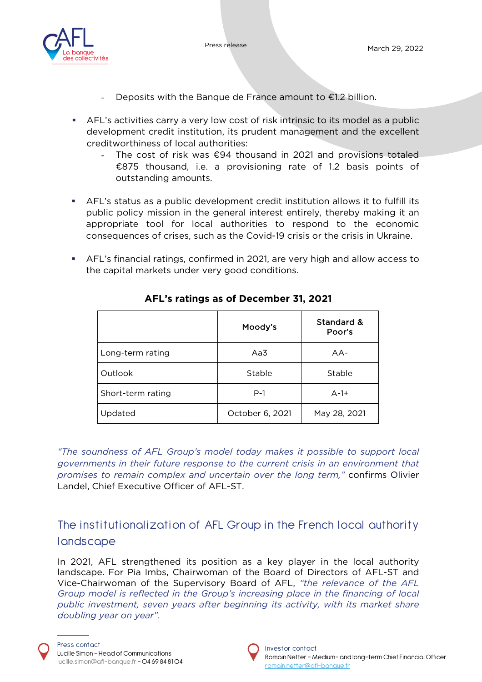

- Deposits with the Banque de France amount to  $E1.2$  billion.
- AFL's activities carry a very low cost of risk intrinsic to its model as a public development credit institution, its prudent management and the excellent creditworthiness of local authorities:
	- The cost of risk was  $\epsilon$ 94 thousand in 2021 and provisions totaled €875 thousand, i.e. a provisioning rate of 1.2 basis points of outstanding amounts.
- AFL's status as a public development credit institution allows it to fulfill its public policy mission in the general interest entirely, thereby making it an appropriate tool for local authorities to respond to the economic consequences of crises, such as the Covid-19 crisis or the crisis in Ukraine.
- AFL's financial ratings, confirmed in 2021, are very high and allow access to the capital markets under very good conditions.

|                   | Moody's         | Standard &<br>Poor's |
|-------------------|-----------------|----------------------|
| Long-term rating  | Aa3             | $AA-$                |
| Outlook           | Stable          | Stable               |
| Short-term rating | $P-1$           | $A-1+$               |
| Updated           | October 6, 2021 | May 28, 2021         |

## **AFL's ratings as of December 31, 2021**

*"The soundness of AFL Group's model today makes it possible to support local governments in their future response to the current crisis in an environment that promises to remain complex and uncertain over the long term,"* confirms Olivier Landel, Chief Executive Officer of AFL-ST.

The institutionalization of AFL Group in the French local authority **l** andscape

In 2021, AFL strengthened its position as a key player in the local authority landscape. For Pia Imbs, Chairwoman of the Board of Directors of AFL-ST and Vice-Chairwoman of the Supervisory Board of AFL, *"the relevance of the AFL Group model is reflected in the Group's increasing place in the financing of local public investment, seven years after beginning its activity, with its market share doubling year on year".* 

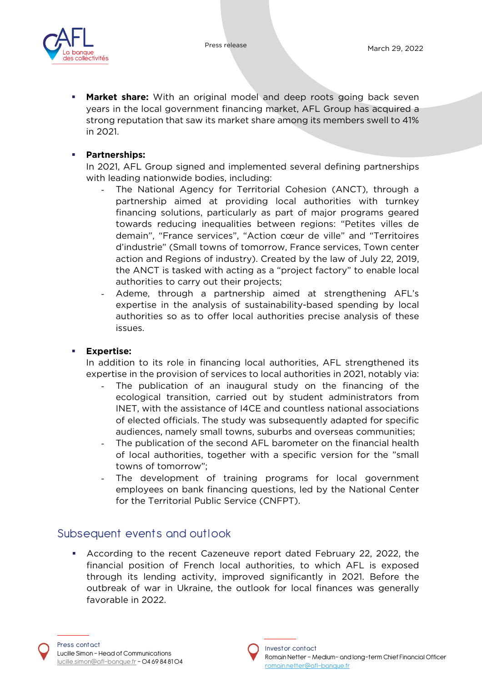



 **Market share:** With an original model and deep roots going back seven years in the local government financing market, AFL Group has acquired a strong reputation that saw its market share among its members swell to 41% in 2021.

#### **Partnerships:**

In 2021, AFL Group signed and implemented several defining partnerships with leading nationwide bodies, including:

- The National Agency for Territorial Cohesion (ANCT), through a partnership aimed at providing local authorities with turnkey financing solutions, particularly as part of major programs geared towards reducing inequalities between regions: "Petites villes de demain", "France services", "Action cœur de ville" and "Territoires d'industrie" (Small towns of tomorrow, France services, Town center action and Regions of industry). Created by the law of July 22, 2019, the ANCT is tasked with acting as a "project factory" to enable local authorities to carry out their projects;
- Ademe, through a partnership aimed at strengthening AFL's expertise in the analysis of sustainability-based spending by local authorities so as to offer local authorities precise analysis of these issues.

### **Expertise:**

In addition to its role in financing local authorities, AFL strengthened its expertise in the provision of services to local authorities in 2021, notably via:

- The publication of an inaugural study on the financing of the ecological transition, carried out by student administrators from INET, with the assistance of I4CE and countless national associations of elected officials. The study was subsequently adapted for specific audiences, namely small towns, suburbs and overseas communities;
- The publication of the second AFL barometer on the financial health of local authorities, together with a specific version for the "small towns of tomorrow";
- The development of training programs for local government employees on bank financing questions, led by the National Center for the Territorial Public Service (CNFPT).

## Subsequent events and outlook

 According to the recent Cazeneuve report dated February 22, 2022, the financial position of French local authorities, to which AFL is exposed through its lending activity, improved significantly in 2021. Before the outbreak of war in Ukraine, the outlook for local finances was generally favorable in 2022.

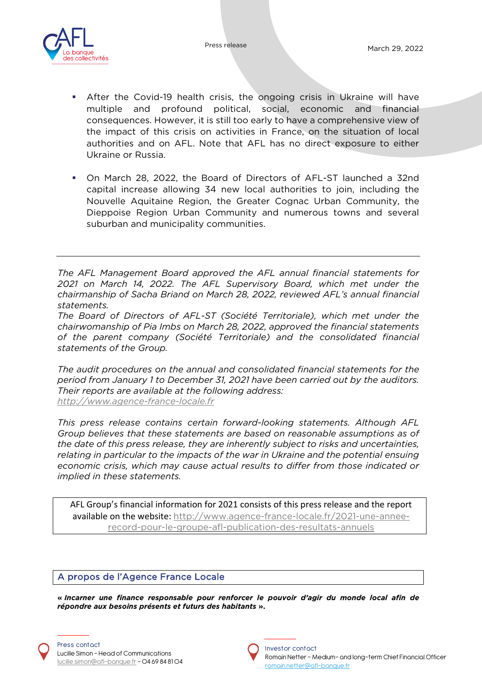

- After the Covid-19 health crisis, the ongoing crisis in Ukraine will have multiple and profound political, social, economic and financial consequences. However, it is still too early to have a comprehensive view of the impact of this crisis on activities in France, on the situation of local authorities and on AFL. Note that AFL has no direct exposure to either Ukraine or Russia.
- On March 28, 2022, the Board of Directors of AFL-ST launched a 32nd capital increase allowing 34 new local authorities to join, including the Nouvelle Aquitaine Region, the Greater Cognac Urban Community, the Dieppoise Region Urban Community and numerous towns and several suburban and municipality communities.

*The AFL Management Board approved the AFL annual financial statements for 2021 on March 14, 2022. The AFL Supervisory Board, which met under the chairmanship of Sacha Briand on March 28, 2022, reviewed AFL's annual financial statements.* 

*The Board of Directors of AFL-ST (Société Territoriale), which met under the chairwomanship of Pia Imbs on March 28, 2022, approved the financial statements of the parent company (Société Territoriale) and the consolidated financial statements of the Group.*

*The audit procedures on the annual and consolidated financial statements for the period from January 1 to December 31, 2021 have been carried out by the auditors. Their reports are available at the following address: [http://www.agence-france-locale.fr](http://www.agence-france-locale.fr/)*

*This press release contains certain forward-looking statements. Although AFL Group believes that these statements are based on reasonable assumptions as of the date of this press release, they are inherently subject to risks and uncertainties, relating in particular to the impacts of the war in Ukraine and the potential ensuing economic crisis, which may cause actual results to differ from those indicated or implied in these statements.*

AFL Group's financial information for 2021 consists of this press release and the report available on the website: [http://www.agence-france-locale.fr/2021-une-annee](http://www.agence-france-locale.fr/2021-une-annee-record-pour-le-groupe-afl-publication-des-resultats-annuels)[record-pour-le-groupe-afl-publication-des-resultats-annuels](http://www.agence-france-locale.fr/2021-une-annee-record-pour-le-groupe-afl-publication-des-resultats-annuels)

### A propos de l'Agence France Locale

**«** *Incarner une finance responsable pour renforcer le pouvoir d'agir du monde local afin de répondre aux besoins présents et futurs des habitants* **».**